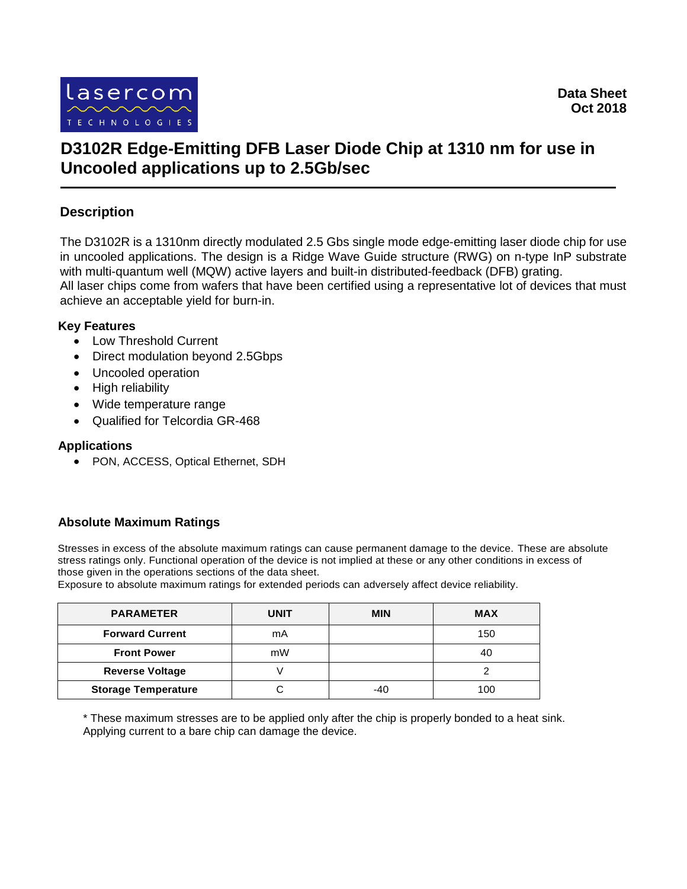

# **D3102R Edge-Emitting DFB Laser Diode Chip at 1310 nm for use in Uncooled applications up to 2.5Gb/sec**

## **Description**

The D3102R is a 1310nm directly modulated 2.5 Gbs single mode edge-emitting laser diode chip for use in uncooled applications. The design is a Ridge Wave Guide structure (RWG) on n-type InP substrate with multi-quantum well (MQW) active layers and built-in distributed-feedback (DFB) grating. All laser chips come from wafers that have been certified using a representative lot of devices that must achieve an acceptable yield for burn-in.

#### **Key Features**

- Low Threshold Current
- Direct modulation beyond 2.5Gbps
- Uncooled operation
- High reliability
- Wide temperature range
- Qualified for Telcordia GR-468

#### **Applications**

PON, ACCESS, Optical Ethernet, SDH

### **Absolute Maximum Ratings**

Stresses in excess of the absolute maximum ratings can cause permanent damage to the device. These are absolute stress ratings only. Functional operation of the device is not implied at these or any other conditions in excess of those given in the operations sections of the data sheet.

Exposure to absolute maximum ratings for extended periods can adversely affect device reliability.

| <b>PARAMETER</b>           | UNIT | <b>MIN</b> | <b>MAX</b> |  |
|----------------------------|------|------------|------------|--|
| <b>Forward Current</b>     | mA   |            | 150        |  |
| <b>Front Power</b>         | mW   |            | 40         |  |
| <b>Reverse Voltage</b>     |      |            |            |  |
| <b>Storage Temperature</b> |      | -40        | 100        |  |

\* These maximum stresses are to be applied only after the chip is properly bonded to a heat sink. Applying current to a bare chip can damage the device.